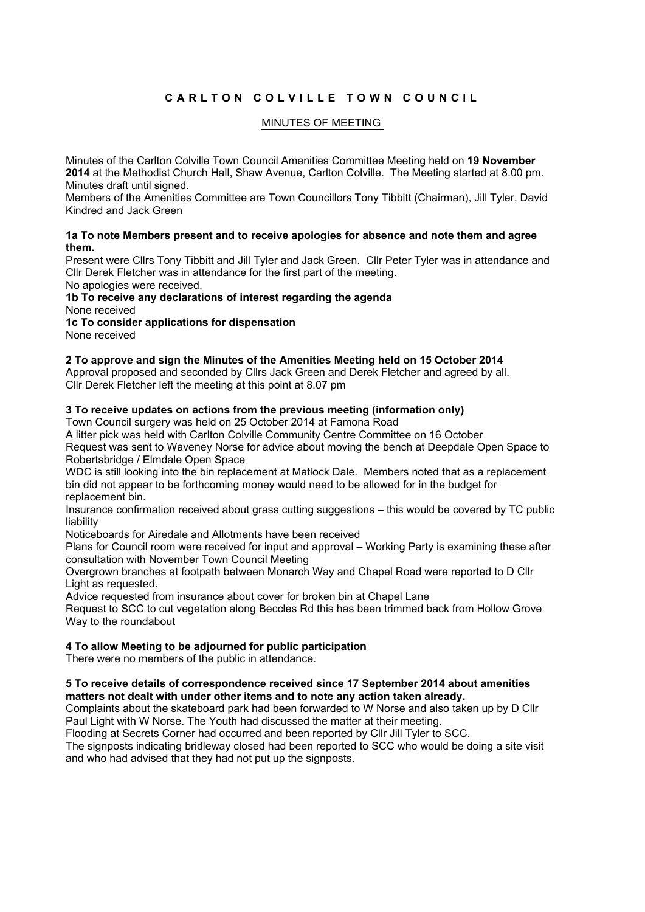# CARLTON COLVILLE TOWN COUNCIL

## MINUTES OF MEETING

Minutes of the Carlton Colville Town Council Amenities Committee Meeting held on **19 November 2014** at the Methodist Church Hall, Shaw Avenue, Carlton Colville. The Meeting started at 8.00 pm. Minutes draft until signed.

Members of the Amenities Committee are Town Councillors Tony Tibbitt (Chairman), Jill Tyler, David Kindred and Jack Green

#### **1a To note Members present and to receive apologies for absence and note them and agree them.**

Present were Cllrs Tony Tibbitt and Jill Tyler and Jack Green. Cllr Peter Tyler was in attendance and Cllr Derek Fletcher was in attendance for the first part of the meeting.

No apologies were received.

# **1b To receive any declarations of interest regarding the agenda** None received

**1c To consider applications for dispensation** 

None received

#### **2 To approve and sign the Minutes of the Amenities Meeting held on 15 October 2014**

Approval proposed and seconded by Cllrs Jack Green and Derek Fletcher and agreed by all. Cllr Derek Fletcher left the meeting at this point at 8.07 pm

## **3 To receive updates on actions from the previous meeting (information only)**

Town Council surgery was held on 25 October 2014 at Famona Road

A litter pick was held with Carlton Colville Community Centre Committee on 16 October Request was sent to Waveney Norse for advice about moving the bench at Deepdale Open Space to Robertsbridge / Elmdale Open Space

WDC is still looking into the bin replacement at Matlock Dale. Members noted that as a replacement bin did not appear to be forthcoming money would need to be allowed for in the budget for replacement bin.

Insurance confirmation received about grass cutting suggestions – this would be covered by TC public liability

Noticeboards for Airedale and Allotments have been received

Plans for Council room were received for input and approval – Working Party is examining these after consultation with November Town Council Meeting

Overgrown branches at footpath between Monarch Way and Chapel Road were reported to D Cllr Light as requested.

Advice requested from insurance about cover for broken bin at Chapel Lane

Request to SCC to cut vegetation along Beccles Rd this has been trimmed back from Hollow Grove Way to the roundabout

## **4 To allow Meeting to be adjourned for public participation**

There were no members of the public in attendance.

#### **5 To receive details of correspondence received since 17 September 2014 about amenities matters not dealt with under other items and to note any action taken already.**

Complaints about the skateboard park had been forwarded to W Norse and also taken up by D Cllr Paul Light with W Norse. The Youth had discussed the matter at their meeting.

Flooding at Secrets Corner had occurred and been reported by Cllr Jill Tyler to SCC.

The signposts indicating bridleway closed had been reported to SCC who would be doing a site visit and who had advised that they had not put up the signposts.